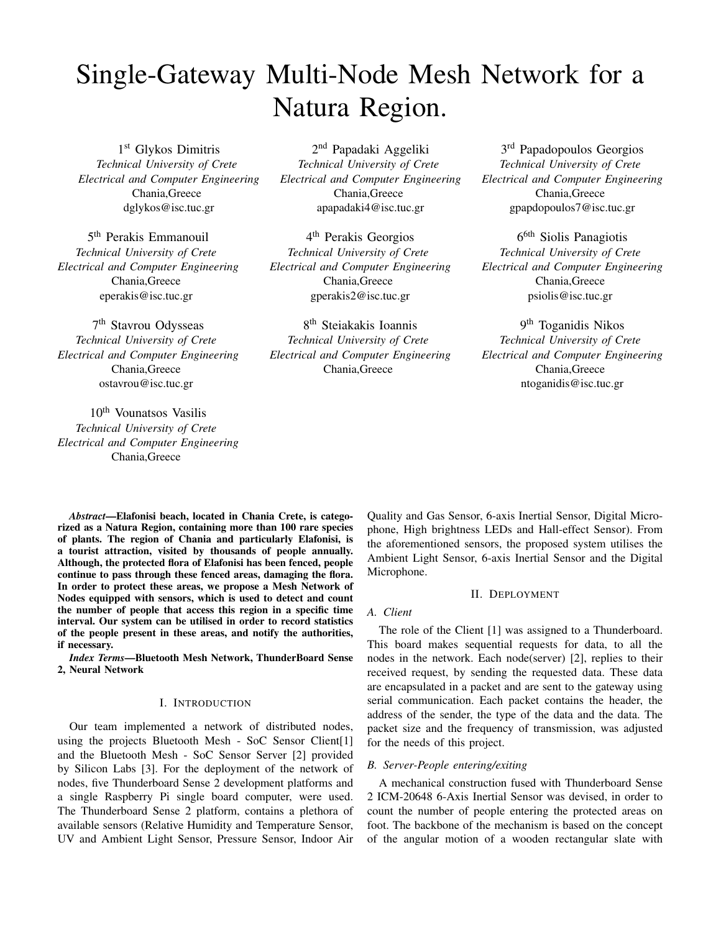# Single-Gateway Multi-Node Mesh Network for a Natura Region.

1 st Glykos Dimitris *Technical University of Crete Electrical and Computer Engineering* Chania,Greece dglykos@isc.tuc.gr

5 th Perakis Emmanouil *Technical University of Crete Electrical and Computer Engineering* Chania,Greece eperakis@isc.tuc.gr

7<sup>th</sup> Stavrou Odysseas *Technical University of Crete Electrical and Computer Engineering* Chania,Greece ostavrou@isc.tuc.gr

10th Vounatsos Vasilis *Technical University of Crete Electrical and Computer Engineering* Chania,Greece

2<sup>nd</sup> Papadaki Aggeliki *Technical University of Crete Electrical and Computer Engineering* Chania,Greece apapadaki4@isc.tuc.gr

4 th Perakis Georgios *Technical University of Crete Electrical and Computer Engineering* Chania,Greece gperakis2@isc.tuc.gr

8 th Steiakakis Ioannis *Technical University of Crete Electrical and Computer Engineering* Chania,Greece

3<sup>rd</sup> Papadopoulos Georgios *Technical University of Crete Electrical and Computer Engineering* Chania,Greece gpapdopoulos7@isc.tuc.gr

6<sup>6th</sup> Siolis Panagiotis *Technical University of Crete Electrical and Computer Engineering* Chania,Greece psiolis@isc.tuc.gr

9 th Toganidis Nikos *Technical University of Crete Electrical and Computer Engineering* Chania,Greece ntoganidis@isc.tuc.gr

*Abstract*—Elafonisi beach, located in Chania Crete, is categorized as a Natura Region, containing more than 100 rare species of plants. The region of Chania and particularly Elafonisi, is a tourist attraction, visited by thousands of people annually. Although, the protected flora of Elafonisi has been fenced, people continue to pass through these fenced areas, damaging the flora. In order to protect these areas, we propose a Mesh Network of Nodes equipped with sensors, which is used to detect and count the number of people that access this region in a specific time interval. Our system can be utilised in order to record statistics of the people present in these areas, and notify the authorities, if necessary.

*Index Terms*—Bluetooth Mesh Network, ThunderBoard Sense 2, Neural Network

# I. INTRODUCTION

Our team implemented a network of distributed nodes, using the projects Bluetooth Mesh - SoC Sensor Client[1] and the Bluetooth Mesh - SoC Sensor Server [2] provided by Silicon Labs [3]. For the deployment of the network of nodes, five Thunderboard Sense 2 development platforms and a single Raspberry Pi single board computer, were used. The Thunderboard Sense 2 platform, contains a plethora of available sensors (Relative Humidity and Temperature Sensor, UV and Ambient Light Sensor, Pressure Sensor, Indoor Air Quality and Gas Sensor, 6-axis Inertial Sensor, Digital Microphone, High brightness LEDs and Hall-effect Sensor). From the aforementioned sensors, the proposed system utilises the Ambient Light Sensor, 6-axis Inertial Sensor and the Digital Microphone.

# II. DEPLOYMENT

### *A. Client*

The role of the Client [1] was assigned to a Thunderboard. This board makes sequential requests for data, to all the nodes in the network. Each node(server) [2], replies to their received request, by sending the requested data. These data are encapsulated in a packet and are sent to the gateway using serial communication. Each packet contains the header, the address of the sender, the type of the data and the data. The packet size and the frequency of transmission, was adjusted for the needs of this project.

# *B. Server-People entering/exiting*

A mechanical construction fused with Thunderboard Sense 2 ICM-20648 6-Axis Inertial Sensor was devised, in order to count the number of people entering the protected areas on foot. The backbone of the mechanism is based on the concept of the angular motion of a wooden rectangular slate with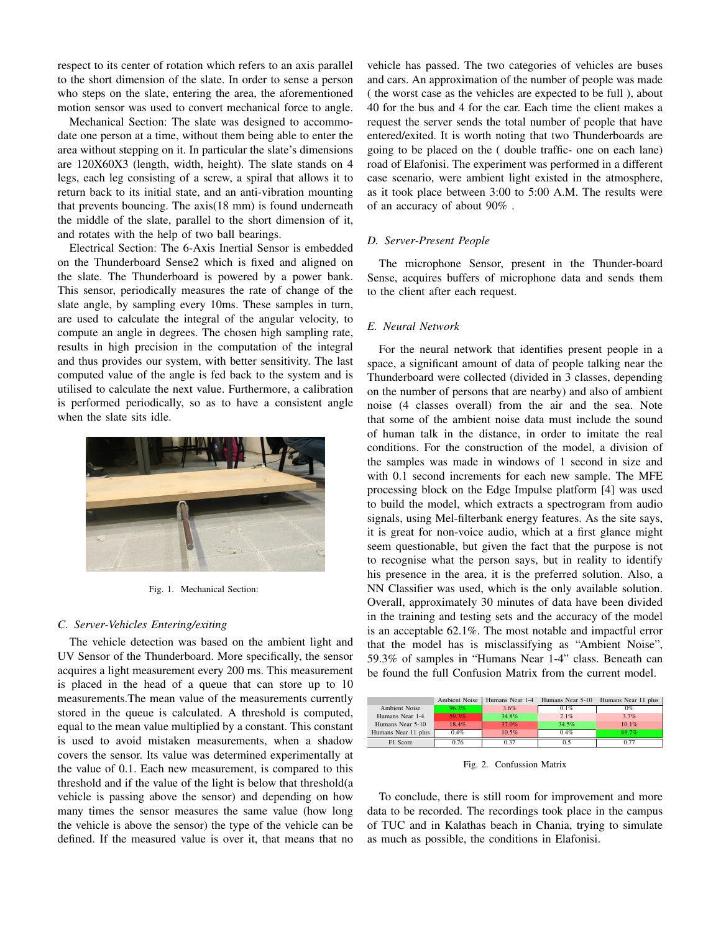respect to its center of rotation which refers to an axis parallel to the short dimension of the slate. In order to sense a person who steps on the slate, entering the area, the aforementioned motion sensor was used to convert mechanical force to angle.

Mechanical Section: The slate was designed to accommodate one person at a time, without them being able to enter the area without stepping on it. In particular the slate's dimensions are 120X60X3 (length, width, height). The slate stands on 4 legs, each leg consisting of a screw, a spiral that allows it to return back to its initial state, and an anti-vibration mounting that prevents bouncing. The axis(18 mm) is found underneath the middle of the slate, parallel to the short dimension of it, and rotates with the help of two ball bearings.

Electrical Section: The 6-Axis Inertial Sensor is embedded on the Thunderboard Sense2 which is fixed and aligned on the slate. The Thunderboard is powered by a power bank. This sensor, periodically measures the rate of change of the slate angle, by sampling every 10ms. These samples in turn, are used to calculate the integral of the angular velocity, to compute an angle in degrees. The chosen high sampling rate, results in high precision in the computation of the integral and thus provides our system, with better sensitivity. The last computed value of the angle is fed back to the system and is utilised to calculate the next value. Furthermore, a calibration is performed periodically, so as to have a consistent angle when the slate sits idle.



Fig. 1. Mechanical Section:

#### *C. Server-Vehicles Entering/exiting*

The vehicle detection was based on the ambient light and UV Sensor of the Thunderboard. More specifically, the sensor acquires a light measurement every 200 ms. This measurement is placed in the head of a queue that can store up to 10 measurements.The mean value of the measurements currently stored in the queue is calculated. A threshold is computed, equal to the mean value multiplied by a constant. This constant is used to avoid mistaken measurements, when a shadow covers the sensor. Its value was determined experimentally at the value of 0.1. Each new measurement, is compared to this threshold and if the value of the light is below that threshold(a vehicle is passing above the sensor) and depending on how many times the sensor measures the same value (how long the vehicle is above the sensor) the type of the vehicle can be defined. If the measured value is over it, that means that no

vehicle has passed. The two categories of vehicles are buses and cars. An approximation of the number of people was made ( the worst case as the vehicles are expected to be full ), about 40 for the bus and 4 for the car. Each time the client makes a request the server sends the total number of people that have entered/exited. It is worth noting that two Thunderboards are going to be placed on the ( double traffic- one on each lane) road of Elafonisi. The experiment was performed in a different case scenario, were ambient light existed in the atmosphere, as it took place between 3:00 to 5:00 A.M. The results were of an accuracy of about 90% .

#### *D. Server-Present People*

The microphone Sensor, present in the Thunder-board Sense, acquires buffers of microphone data and sends them to the client after each request.

#### *E. Neural Network*

For the neural network that identifies present people in a space, a significant amount of data of people talking near the Thunderboard were collected (divided in 3 classes, depending on the number of persons that are nearby) and also of ambient noise (4 classes overall) from the air and the sea. Note that some of the ambient noise data must include the sound of human talk in the distance, in order to imitate the real conditions. For the construction of the model, a division of the samples was made in windows of 1 second in size and with 0.1 second increments for each new sample. The MFE processing block on the Edge Impulse platform [4] was used to build the model, which extracts a spectrogram from audio signals, using Mel-filterbank energy features. As the site says, it is great for non-voice audio, which at a first glance might seem questionable, but given the fact that the purpose is not to recognise what the person says, but in reality to identify his presence in the area, it is the preferred solution. Also, a NN Classifier was used, which is the only available solution. Overall, approximately 30 minutes of data have been divided in the training and testing sets and the accuracy of the model is an acceptable 62.1%. The most notable and impactful error that the model has is misclassifying as "Ambient Noise", 59.3% of samples in "Humans Near 1-4" class. Beneath can be found the full Confusion Matrix from the current model.

|                     | <b>Ambient Noise</b> | Humans Near 1-4 | Humans Near 5-10 | Humans Near 11 plus |
|---------------------|----------------------|-----------------|------------------|---------------------|
| Ambient Noise       | $96.3\%$             | 3.6%            | 0.1%             | 0%                  |
| Humans Near 1-4     | 59.3%                | 34.8%           | 2.1%             | 3.7%                |
| Humans Near 5-10    | 18.4%                | 37.0%           | 34.5%            | 10.1%               |
| Humans Near 11 plus | 0.4%                 | 10.5%           | 0.4%             | 88.7%               |
| F1 Score            | 0.76                 | 0.37            |                  | n 71                |

Fig. 2. Confussion Matrix

To conclude, there is still room for improvement and more data to be recorded. The recordings took place in the campus of TUC and in Kalathas beach in Chania, trying to simulate as much as possible, the conditions in Elafonisi.